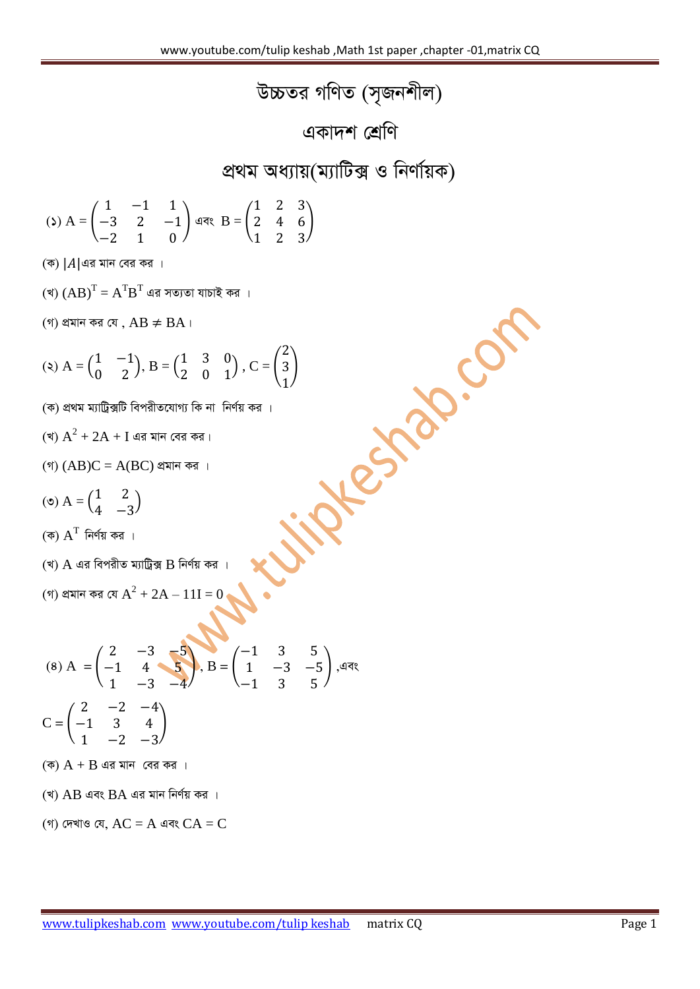*D"PZi MwYZ (m"Rbkxj)*

**একাদশ শ্ৰেণি** 

## *প্ৰ*থম অধ্যায়(ম্যাটিক্স ও নিৰ্ণায়ক)

$$
\text{(s) } A = \begin{pmatrix} 1 & -1 & 1 \\ -3 & 2 & -1 \\ -2 & 1 & 0 \end{pmatrix} \text{ and } B = \begin{pmatrix} 1 & 2 & 3 \\ 2 & 4 & 6 \\ 1 & 2 & 3 \end{pmatrix}
$$

*(*ক) | A | এর মান বের কর ।

- (খ)  $\left( \text{A}\text{B}\right) ^{\text{T}}=\text{A}^{\text{T}}\text{B}^{\text{T}}$  এর সত্যতা যাচাই কর ।
- *(গ)* প্ৰমান কর যে,  $AB \neq BA$ ।

(9) 
$$
(AB)^T = A^T B^T
$$
 dārā vēvēl ālēlē, ārā u  
\n(9)  $ABH\pi$  ērā,  $AB \neq BA$  l  
\n(1)  $BA = \begin{pmatrix} 1 & -1 \\ 0 & 2 \end{pmatrix}, B = \begin{pmatrix} 1 & 3 & 0 \\ 2 & 0 & 1 \end{pmatrix}, C = \begin{pmatrix} 2 \\ 3 \\ 1 \end{pmatrix}$ 

\n(3)  $A^2 + 2A + I$  dārālīvēcīlībī fērāl, ērālālē, Ārālālē, Ārālē, ērāl, Ārālē, ērālē, ārālē, ērāl, Ārālē, ērāl, Ārāl, ērāl, Ārāl, ērāl, Ārāl, ērāl, Ārāl, Ārāl, ērāl, Ārāl, ērāl, įrāl, Ārāl, ārāl, ľrāl, Ārāl, ārāl, ľrāl, Ārāl, ārāl, ľrāl, ľl  
\n(5)  $A^T$  ērālār, ārālījā, įrālējāj, ērāl, ērāl, ērāl, ērāl, ērāl, ārāl, ārāl, ārāl, ārāl, ārāl, ārāl, ārāl, ārāl, ārāl, ārāl, ārāl, ērāl, ārāl, ārāl, įrāl, ārāl, ārāl, īrāl, ārāl, įrāl, ērāl, ārāl, ārāl, įrāl, ērāl, ārāl, ārāl, ārāl, ārāl, įrāl, ārāl, ārāl, įrāl, ārāl, įrāl, ārāl, ārāl, ārāl, ārāl, įrāl, ārāl, ārāl, ārāl, ārāl, ārāl, ārāl, ā

- *(*ক) প্ৰথম ম্যাট্ৰিক্সটি বিপরীতযোগ্য কি না নির্ণয় কর ।
- (খ)  $\rm A^2 + 2A + I$  এর মান বের কর।
- *(গ)*  $(AB)C = A(BC)$  প্ৰমান কর ।
- $(2)$  A =  $\binom{1}{4}$  $\begin{pmatrix} 1 & 2 \\ 4 & -3 \end{pmatrix}$
- $(\overline{\Phi})$   $\overline{\mathrm{A}}^{\mathrm{T}}$  নির্ণয় কর ।
- $($ খ)  $\overline{A}$  এর বিপরীত ম্যাট্রিক্স  $\overline{B}$  নির্ণয় কর ।

(গ) প্ৰমান কর যে 
$$
A^2 + 2A - 11I = 0
$$

$$
(8) A = \begin{pmatrix} 2 & -3 & -5 \\ -1 & 4 & 5 \\ 1 & -3 & -4 \end{pmatrix}, B = \begin{pmatrix} -1 & 3 & 5 \\ 1 & -3 & -5 \\ -1 & 3 & 5 \end{pmatrix},
$$
 and 
$$
C = \begin{pmatrix} 2 & -2 & -4 \\ -1 & 3 & 4 \\ 1 & -2 & -3 \end{pmatrix}
$$

- *(*ক)  $A + B$  এর মান বের কর ।
- $($ খ) AB এবং BA এর মান নির্ণয় কর ।
- *(গ) দে*খাও যে,  $AC = A$  এবং  $CA = C$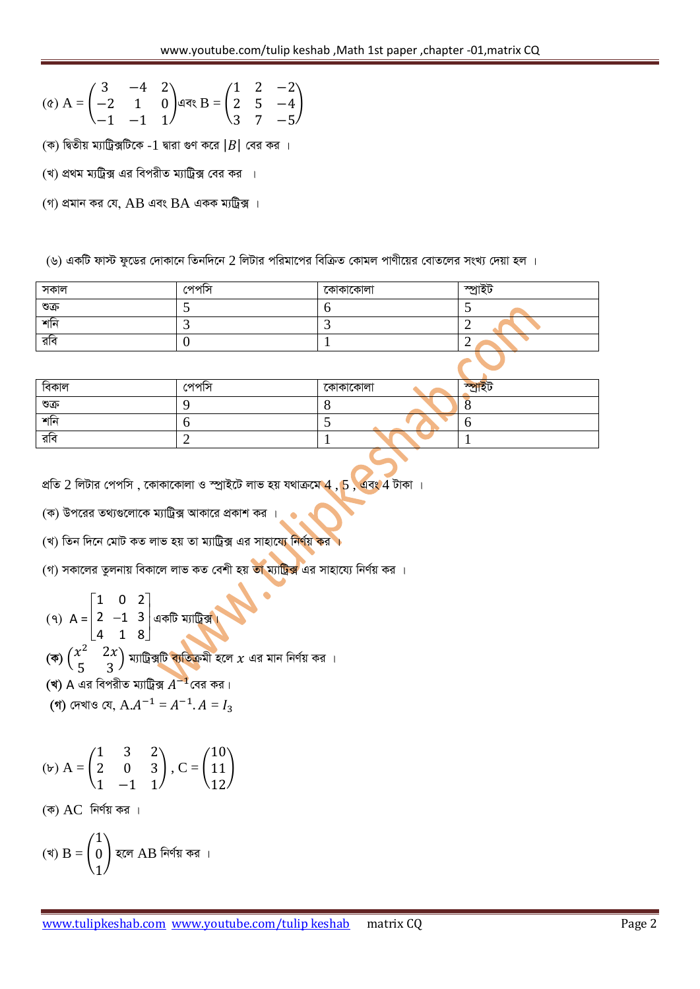$$
\text{(c) } A = \begin{pmatrix} 3 & -4 & 2 \\ -2 & 1 & 0 \\ -1 & -1 & 1 \end{pmatrix} \text{ and } B = \begin{pmatrix} 1 & 2 & -2 \\ 2 & 5 & -4 \\ 3 & 7 & -5 \end{pmatrix}
$$

- *(*ক) দ্বিতীয় ম্যাট্রিক্সটিকে -1 দ্বারা গুণ করে |B| বের কর ।
- *(*খ) প্রথম ম্যট্রিক্স এর বিপরীত ম্যাট্রিক্স বের কর ।
- *(গ) প্ৰমান কর যে, AB এবং BA একক ম্যট্ৰিক্স ।*
- (৬) একটি ফাস্ট ফুডের দোকানে তিনদিনে 2 লিটার পরিমাপের বিক্রিত কোমল পাণীয়ের বোতলের সংখ্য দেয়া হল ।

| সকাল | পেপাস | কোকাকোলা | স্পাইট |
|------|-------|----------|--------|
| ণ্ডক |       |          |        |
| শনি  |       |          |        |
| রবি  |       |          |        |
|      |       |          |        |

| বিকাল  | পেপাস | কোকাকোলা      | $\overline{X}$ |
|--------|-------|---------------|----------------|
| ণ্ডক্র |       |               |                |
| শনি    |       | $\sim$ $\sim$ |                |
| রাব    |       |               |                |

- *প্রতি 2 লিটার পেপসি, কোকাকোলা ও স্প্রাইটে লাভ হয় যথাক্রমে 4, 5 , এবং 4 টাকা ।*
- $p(x)$  উপরের তথ্যগুলোকে ম্যাট্রিক্স আকারে প্রকাশ কর*।*
- *(*খ) তিন দিনে মোট কত লাভ হয় তা ম্যাট্ৰিক্স এর সাহায্যে নির্ণয় কর ।
- *(গ) সকালের তুলনায় বিকালে লাভ কত বে*শী হয় ত<mark>া ম্যাট্রিক্স</mark> এর সাহায্যে নির্ণয় কর ।

$$
(9) A = \begin{bmatrix} 1 & 0 & 2 \\ 2 & -1 & 3 \\ 4 & 1 & 8 \end{bmatrix} \text{ and } \text{ with } \frac{1}{2}.
$$

- (ক)  $\binom{x^2}{5}$ 5  $\big)$  ম্যাট্রিক্সটি <mark>ব্যতিক্র</mark>মী হলে  $\chi$  এর মান নির্ণয় কর ।
- (**খ)** A এর বিপরীত ম্যাট্রিক্স  $A^{-1}$ বের কর।
- *(গ) দেখাও যে,*  $A.A^{-1} = A^{-1}$ *.*  $A =$

$$
\text{(b) } A = \begin{pmatrix} 1 & 3 & 2 \\ 2 & 0 & 3 \\ 1 & -1 & 1 \end{pmatrix}, C = \begin{pmatrix} 10 \\ 11 \\ 12 \end{pmatrix}
$$

 $($ ক) AC নির্ণয় কর ।

(খ) 
$$
B = \begin{pmatrix} 1 \\ 0 \\ 1 \end{pmatrix}
$$
 হলে AB নিৰ্ণয় কর।